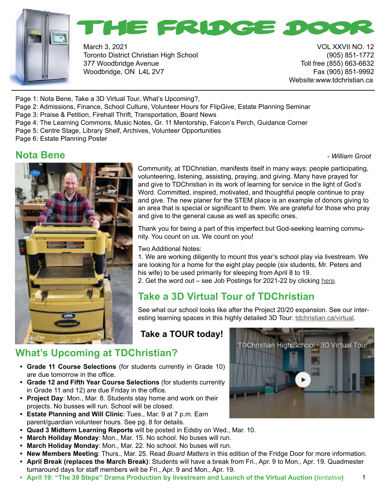



March 3, 2021 VOL XXVII NO. 12 Toronto District Christian High School (905) 851-1772 377 Woodbridge Avenue Toll free (855) 663-6632 Woodbridge, ON L4L 2V7 Fax (905) 851-9992

Website:www.tdchristian.ca

Page 1: Nota Bene, Take a 3D Virtual Tour, What's Upcoming?,

Page 2: Admissions, Finance, School Culture, Volunteer Hours for FlipGive, Estate Planning Seminar

- Page 3: Praise & Petition, Firehall Thrift, Transportation, Board News
- Page 4: The Learning Commons, Music Notes, Gr. 11 Mentorship, Falcon's Perch, Guidance Corner
- Page 5: Centre Stage, Library Shelf, Archives, Volunteer Opportunities
- Page 6: Estate Planning Poster

#### **Nota Bene -** *William Groot* **<b>Constanting Constanting Constanting Constanting Constanting Constanting Constanting Constanting Constanting Constanting Constanting Constanting Constanting Constanting Constanting Constantin**

1



Community, at TDChristian, manifests itself in many ways: people participating, volunteering, listening, assisting, praying, and giving. Many have prayed for and give to TDChristian in its work of learning for service in the light of God's Word. Committed, inspired, motivated, and thoughtful people continue to pray and give. The new planer for the STEM place is an example of donors giving to an area that is special or significant to them. We are grateful for those who pray and give to the general cause as well as specific ones.

Thank you for being a part of this imperfect but God-seeking learning community. You count on us. We count on you!

Two Additional Notes:

1. We are working diligently to mount this year's school play via livestream. We are looking for a home for the eight play people (six students, Mr. Peters and his wife) to be used primarily for sleeping from April 8 to 19. 2. Get the word out – see Job Postings for 2021-22 by clicking [here](https://www.tdchristian.ca/employment).

#### **Take a 3D Virtual Tour of TDChristian**

See what our school looks like after the Project 20/20 expansion. See our interesting learning spaces in this highly detailed 3D Tour: [tdchristian.ca/virtual.](http://tdchristian.ca/virtual)

#### **Take a TOUR today!**

#### **What's Upcoming at TDChristian?**

- **• Grade 11 Course Selections** (for students currently in Grade 10) are due tomorrow in the office.
- **• Grade 12 and Fifth Year Course Selections** (for students currently in Grade 11 and 12) are due Friday in the office*.*
- **• Project Day**: Mon., Mar. 8. Students stay home and work on their projects. No busses will run. School will be closed.
- **• Estate Planning and Will Clinic**: Tues., Mar. 9 at 7 p.m. Earn parent/guardian volunteer hours. See pg. 8 for details.
- **• Quad 3 Midterm Learning Reports** will be posted in Edsby on Wed., Mar. 10.
- **• March Holiday Monday**: Mon., Mar. 15. No school. No buses will run.
- **• March Holiday Monday**: Mon., Mar. 22. No school. No buses will run.
- **• New Members Meeting**: Thurs., Mar. 25. Read *Board Matters* in this edition of the Fridge Door for more information.
- **• April Break (replaces the March Break)**: Students will have a break from Fri., Apr. 9 to Mon., Apr. 19. Quadmester turnaround days for staff members will be Fri., Apr. 9 and Mon., Apr. 19.
- **• April 19: "The 39 Steps" Drama Production by livestream and Launch of the Virtual Auction (***tentative***)**

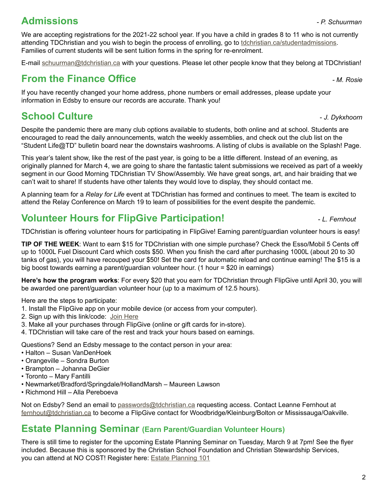#### **Admissions** *- P. Schuurman*

We are accepting registrations for the 2021-22 school year. If you have a child in grades 8 to 11 who is not currently attending TDChristian and you wish to begin the process of enrolling, go to [tdchristian.ca/studentadmissions](http://tdchristian.ca/studentadmissions). Families of current students will be sent tuition forms in the spring for re-enrolment.

E-mail [schuurman@tdchristian.ca](http://schuurman@tdchristian.ca) with your questions. Please let other people know that they belong at TDChristian!

#### **From the Finance Office** *- M. Rosie*

If you have recently changed your home address, phone numbers or email addresses, please update your information in Edsby to ensure our records are accurate. Thank you!

## **School Culture**  $\sim$  *J. Dykxhoorn*

Despite the pandemic there are many club options available to students, both online and at school. Students are encouraged to read the daily announcements, watch the weekly assemblies, and check out the club list on the "Student Life@TD" bulletin board near the downstairs washrooms. A listing of clubs is available on the Splash! Page.

This year's talent show, like the rest of the past year, is going to be a little different. Instead of an evening, as originally planned for March 4, we are going to share the fantastic talent submissions we received as part of a weekly segment in our Good Morning TDChristian TV Show/Assembly. We have great songs, art, and hair braiding that we can't wait to share! If students have other talents they would love to display, they should contact me.

A planning team for a *Relay for Life* event at TDChristian has formed and continues to meet. The team is excited to attend the Relay Conference on March 19 to learn of possibilities for the event despite the pandemic.

## **Volunteer Hours for FlipGive Participation!** *L. Fernhout*

TDChristian is offering volunteer hours for participating in FlipGive! Earning parent/guardian volunteer hours is easy!

**TIP OF THE WEEK**: Want to earn \$15 for TDChristian with one simple purchase? Check the Esso/Mobil 5 Cents off up to 1000L Fuel Discount Card which costs \$50. When you finish the card after purchasing 1000L (about 20 to 30 tanks of gas), you will have recouped your \$50! Set the card for automatic reload and continue earning! The \$15 is a big boost towards earning a parent/guardian volunteer hour. (1 hour = \$20 in earnings)

**Here's how the program works**: For every \$20 that you earn for TDChristian through FlipGive until April 30, you will be awarded one parent/guardian volunteer hour (up to a maximum of 12.5 hours).

Here are the steps to participate:

- 1. Install the FlipGive app on your mobile device (or access from your computer).
- 2. Sign up with this link/code: [Join Here](https://www.flipgive.com/teams/253163/joins/intro?code=6KGYX6)
- 3. Make all your purchases through FlipGive (online or gift cards for in-store).
- 4. TDChristian will take care of the rest and track your hours based on earnings.

Questions? Send an Edsby message to the contact person in your area:

- Halton Susan VanDenHoek
- Orangeville Sondra Burton
- Brampton Johanna DeGier
- Toronto Mary Fantilli
- Newmarket/Bradford/Springdale/HollandMarsh Maureen Lawson
- Richmond Hill Alla Pereboeva

Not on Edsby? Send an email to [passwords@tdchristian.ca](http://passwords@tdchristian.ca) requesting access. Contact Leanne Fernhout at [fernhout@tdchristian.ca](http://fernhout@tdchristian.ca) to become a FlipGive contact for Woodbridge/Kleinburg/Bolton or Mississauga/Oakville.

#### **Estate Planning Seminar (Earn Parent/Guardian Volunteer Hours)**

There is still time to register for the upcoming Estate Planning Seminar on Tuesday, March 9 at 7pm! See the flyer included. Because this is sponsored by the Christian School Foundation and Christian Stewardship Services, you can attend at NO COST! Register here: [Estate Planning 101](https://us02web.zoom.us/meeting/register/tZcucO2sqzwjGdQvL_U2orfB3Gpy9duyvMVS)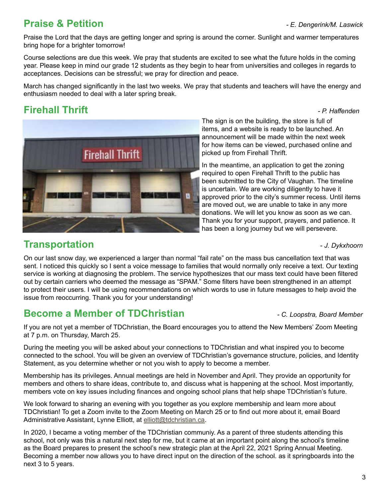#### **Praise & Petition** *- E. Dengerink/M. Laswick*

Praise the Lord that the days are getting longer and spring is around the corner. Sunlight and warmer temperatures bring hope for a brighter tomorrow!

Course selections are due this week. We pray that students are excited to see what the future holds in the coming year. Please keep in mind our grade 12 students as they begin to hear from universities and colleges in regards to acceptances. Decisions can be stressful; we pray for direction and peace.

March has changed significantly in the last two weeks. We pray that students and teachers will have the energy and enthusiasm needed to deal with a later spring break.

#### **Firehall Thrift** *- P. Haffenden*



The sign is on the building, the store is full of items, and a website is ready to be launched. An announcement will be made within the next week for how items can be viewed, purchased online and picked up from Firehall Thrift.

In the meantime, an application to get the zoning required to open Firehall Thrift to the public has been submitted to the City of Vaughan. The timeline is uncertain. We are working diligently to have it approved prior to the city's summer recess. Until items are moved out, we are unable to take in any more donations. We will let you know as soon as we can. Thank you for your support, prayers, and patience. It has been a long journey but we will persevere.

#### **Transportation 1.** The *J. Dykxhoorn*

On our last snow day, we experienced a larger than normal "fail rate" on the mass bus cancellation text that was sent. I noticed this quickly so I sent a voice message to families that would normally only receive a text. Our texting service is working at diagnosing the problem. The service hypothesizes that our mass text could have been filtered out by certain carriers who deemed the message as "SPAM." Some filters have been strengthened in an attempt to protect their users. I will be using recommendations on which words to use in future messages to help avoid the issue from reoccurring. Thank you for your understanding!

#### **Become a Member of TDChristian** *- C. Loopstra, Board Member*

If you are not yet a member of TDChristian, the Board encourages you to attend the New Members' Zoom Meeting at 7 p.m. on Thursday, March 25.

During the meeting you will be asked about your connections to TDChristian and what inspired you to become connected to the school. You will be given an overview of TDChristian's governance structure, policies, and Identity Statement, as you determine whether or not you wish to apply to become a member.

Membership has its privileges. Annual meetings are held in November and April. They provide an opportunity for members and others to share ideas, contribute to, and discuss what is happening at the school. Most importantly, members vote on key issues including finances and ongoing school plans that help shape TDChristian's future.

We look forward to sharing an evening with you together as you explore membership and learn more about TDChristian! To get a Zoom invite to the Zoom Meeting on March 25 or to find out more about it, email Board Administrative Assistant, Lynne Elliott, at [elliott@tdchristian.ca.](mailto:elliott%40tdchristian.ca?subject=)

In 2020, I became a voting member of the TDChristian communiy. As a parent of three students attending this school, not only was this a natural next step for me, but it came at an important point along the school's timeline as the Board prepares to present the school's new strategic plan at the April 22, 2021 Spring Annual Meeting. Becoming a member now allows you to have direct input on the direction of the school. as it springboards into the next 3 to 5 years.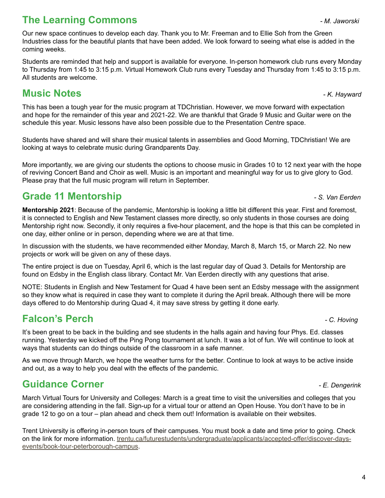#### **The Learning Commons** *- M. Jaworski*

Our new space continues to develop each day. Thank you to Mr. Freeman and to Ellie Soh from the Green Industries class for the beautiful plants that have been added. We look forward to seeing what else is added in the coming weeks.

Students are reminded that help and support is available for everyone. In-person homework club runs every Monday to Thursday from 1:45 to 3:15 p.m. Virtual Homework Club runs every Tuesday and Thursday from 1:45 to 3:15 p.m. All students are welcome.

#### **Music Notes** *- K. Hayward*

This has been a tough year for the music program at TDChristian. However, we move forward with expectation and hope for the remainder of this year and 2021-22. We are thankful that Grade 9 Music and Guitar were on the schedule this year. Music lessons have also been possible due to the Presentation Centre space.

Students have shared and will share their musical talents in assemblies and Good Morning, TDChristian! We are looking at ways to celebrate music during Grandparents Day.

More importantly, we are giving our students the options to choose music in Grades 10 to 12 next year with the hope of reviving Concert Band and Choir as well. Music is an important and meaningful way for us to give glory to God. Please pray that the full music program will return in September.

#### **Grade 11 Mentorship** *- S. Van Eerden*

**Mentorship 2021**: Because of the pandemic, Mentorship is looking a little bit different this year. First and foremost, it is connected to English and New Testament classes more directly, so only students in those courses are doing Mentorship right now. Secondly, it only requires a five-hour placement, and the hope is that this can be completed in one day, either online or in person, depending where we are at that time.

In discussion with the students, we have recommended either Monday, March 8, March 15, or March 22. No new projects or work will be given on any of these days.

The entire project is due on Tuesday, April 6, which is the last regular day of Quad 3. Details for Mentorship are found on Edsby in the English class library. Contact Mr. Van Eerden directly with any questions that arise.

NOTE: Students in English and New Testament for Quad 4 have been sent an Edsby message with the assignment so they know what is required in case they want to complete it during the April break. Although there will be more days offered to do Mentorship during Quad 4, it may save stress by getting it done early.

#### **Falcon's Perch** *- C. Hoving*

It's been great to be back in the building and see students in the halls again and having four Phys. Ed. classes running. Yesterday we kicked off the Ping Pong tournament at lunch. It was a lot of fun. We will continue to look at ways that students can do things outside of the classroom in a safe manner.

As we move through March, we hope the weather turns for the better. Continue to look at ways to be active inside and out, as a way to help you deal with the effects of the pandemic.

#### **Guidance Corner** *- E. Dengerink*

March Virtual Tours for University and Colleges: March is a great time to visit the universities and colleges that you are considering attending in the fall. Sign-up for a virtual tour or attend an Open House. You don't have to be in grade 12 to go on a tour – plan ahead and check them out! Information is available on their websites.

Trent University is offering in-person tours of their campuses. You must book a date and time prior to going. Check on the link for more information. [trentu.ca/futurestudents/undergraduate/applicants/accepted-offer/discover-days](http://www.trentu.ca/futurestudents/undergraduate/applicants/accepted-offer/discover-days-events/book-tour-peterborough-campus)[events/book-tour-peterborough-campus.](http://www.trentu.ca/futurestudents/undergraduate/applicants/accepted-offer/discover-days-events/book-tour-peterborough-campus)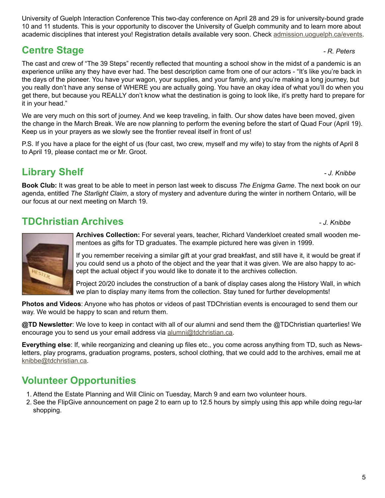5

University of Guelph Interaction Conference This two-day conference on April 28 and 29 is for university-bound grade 10 and 11 students. This is your opportunity to discover the University of Guelph community and to learn more about academic disciplines that interest you! Registration details available very soon. Check [admission.uoguelph.ca/events](mailto:admission.uoguelph.ca/events%20for%20more%20information?subject=).

## **Centre Stage** *Centre Stage*

The cast and crew of "The 39 Steps" recently reflected that mounting a school show in the midst of a pandemic is an experience unlike any they have ever had. The best description came from one of our actors - "It's like you're back in the days of the pioneer. You have your wagon, your supplies, and your family, and you're making a long journey, but you really don't have any sense of WHERE you are actually going. You have an okay idea of what you'll do when you get there, but because you REALLY don't know what the destination is going to look like, it's pretty hard to prepare for it in your head."

We are very much on this sort of journey. And we keep traveling, in faith. Our show dates have been moved, given the change in the March Break. We are now planning to perform the evening before the start of Quad Four (April 19). Keep us in your prayers as we slowly see the frontier reveal itself in front of us!

P.S. If you have a place for the eight of us (four cast, two crew, myself and my wife) to stay from the nights of April 8 to April 19, please contact me or Mr. Groot.

#### **Library Shelf** *- J. Knibbe*

**Book Club:** It was great to be able to meet in person last week to discuss *The Enigma Game*. The next book on our agenda, entitled *The Starlight Claim*, a story of mystery and adventure during the winter in northern Ontario, will be our focus at our next meeting on March 19.

#### **TDChristian Archives** *- J. Knibbe*

**Archives Collection:** For several years, teacher, Richard Vanderkloet created small wooden mementoes as gifts for TD graduates. The example pictured here was given in 1999.

If you remember receiving a similar gift at your grad breakfast, and still have it, it would be great if you could send us a photo of the object and the year that it was given. We are also happy to accept the actual object if you would like to donate it to the archives collection.

Project 20/20 includes the construction of a bank of display cases along the History Wall, in which we plan to display many items from the collection. Stay tuned for further developments!

**Photos and Videos**: Anyone who has photos or videos of past TDChristian events is encouraged to send them our way. We would be happy to scan and return them.

**@TD Newsletter**: We love to keep in contact with all of our alumni and send them the @TDChristian quarterlies! We encourage you to send us your email address via [alumni@tdchristian.ca.](http://alumni@tdchristian.ca)

**Everything else**: If, while reorganizing and cleaning up files etc., you come across anything from TD, such as Newsletters, play programs, graduation programs, posters, school clothing, that we could add to the archives, email me at [knibbe@tdchristian.ca](mailto:knibbe%40tdchristian.ca?subject=).

#### **Volunteer Opportunities**

- 1. Attend the Estate Planning and Will Clinic on Tuesday, March 9 and earn two volunteer hours.
- 2. See the FlipGive announcement on page 2 to earn up to 12.5 hours by simply using this app while doing regu-lar shopping.